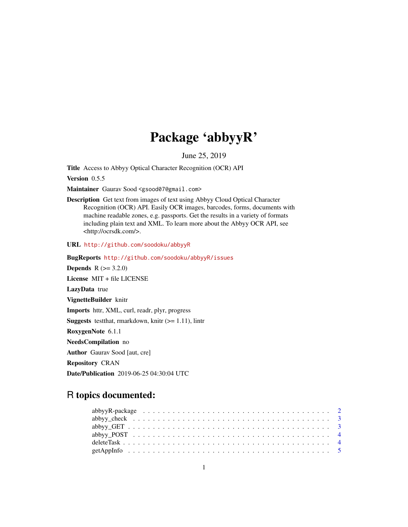# Package 'abbyyR'

June 25, 2019

<span id="page-0-0"></span>Title Access to Abbyy Optical Character Recognition (OCR) API

Version 0.5.5

Maintainer Gaurav Sood <gsood07@gmail.com>

Description Get text from images of text using Abbyy Cloud Optical Character Recognition (OCR) API. Easily OCR images, barcodes, forms, documents with machine readable zones, e.g. passports. Get the results in a variety of formats including plain text and XML. To learn more about the Abbyy OCR API, see <http://ocrsdk.com/>.

URL <http://github.com/soodoku/abbyyR>

BugReports <http://github.com/soodoku/abbyyR/issues> **Depends**  $R (= 3.2.0)$ License MIT + file LICENSE LazyData true VignetteBuilder knitr Imports httr, XML, curl, readr, plyr, progress **Suggests** test that, rmarkdown, knitr  $(>= 1.11)$ , lintr RoxygenNote 6.1.1 NeedsCompilation no Author Gaurav Sood [aut, cre] Repository CRAN

# Date/Publication 2019-06-25 04:30:04 UTC

# R topics documented: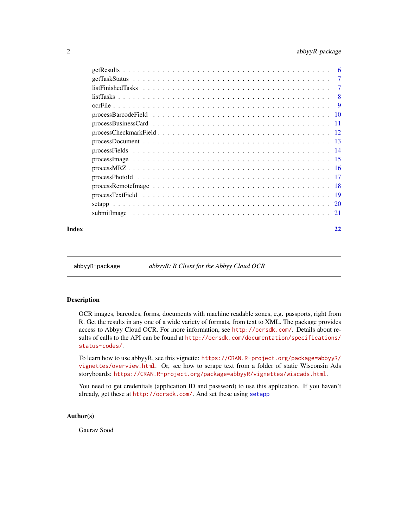#### <span id="page-1-0"></span>2 abbyyR-package

| Index | 22 |
|-------|----|

abbyyR-package *abbyyR: R Client for the Abbyy Cloud OCR*

#### Description

OCR images, barcodes, forms, documents with machine readable zones, e.g. passports, right from R. Get the results in any one of a wide variety of formats, from text to XML. The package provides access to Abbyy Cloud OCR. For more information, see <http://ocrsdk.com/>. Details about results of calls to the API can be found at [http://ocrsdk.com/documentation/specifications/](http://ocrsdk.com/documentation/specifications/status-codes/) [status-codes/](http://ocrsdk.com/documentation/specifications/status-codes/).

To learn how to use abbyyR, see this vignette: [https://CRAN.R-project.org/package=abbyyR/](https://CRAN.R-project.org/package=abbyyR/vignettes/overview.html) [vignettes/overview.html](https://CRAN.R-project.org/package=abbyyR/vignettes/overview.html). Or, see how to scrape text from a folder of static Wisconsin Ads storyboards: <https://CRAN.R-project.org/package=abbyyR/vignettes/wiscads.html>.

You need to get credentials (application ID and password) to use this application. If you haven't already, get these at <http://ocrsdk.com/>. And set these using [setapp](#page-19-1)

#### Author(s)

Gaurav Sood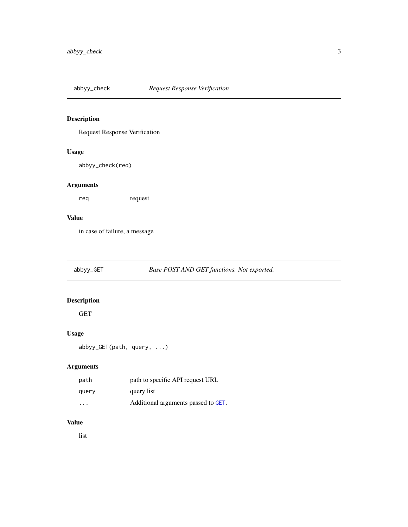<span id="page-2-0"></span>

# Description

Request Response Verification

#### Usage

abbyy\_check(req)

## Arguments

req request

# Value

in case of failure, a message

<span id="page-2-1"></span>abbyy\_GET *Base POST AND GET functions. Not exported.*

# Description

**GET** 

#### Usage

abbyy\_GET(path, query, ...)

# Arguments

| path  | path to specific API request URL    |
|-------|-------------------------------------|
| query | query list                          |
| .     | Additional arguments passed to GET. |

# Value

list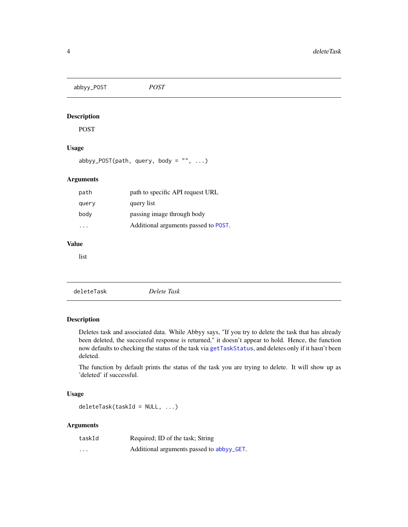<span id="page-3-1"></span><span id="page-3-0"></span>abbyy\_POST *POST*

#### Description

POST

# Usage

abbyy\_POST(path, query, body =  $"$ , ...)

#### Arguments

| path  | path to specific API request URL     |
|-------|--------------------------------------|
| query | query list                           |
| body  | passing image through body           |
|       | Additional arguments passed to POST. |

## Value

list

| deleteTask<br>Delete Task |
|---------------------------|
|---------------------------|

# Description

Deletes task and associated data. While Abbyy says, "If you try to delete the task that has already been deleted, the successful response is returned," it doesn't appear to hold. Hence, the function now defaults to checking the status of the task via [getTaskStatus](#page-6-1), and deletes only if it hasn't been deleted.

The function by default prints the status of the task you are trying to delete. It will show up as 'deleted' if successful.

#### Usage

```
deleteTask(taskId = NULL, ...)
```
#### Arguments

| taskId  | Required; ID of the task; String          |
|---------|-------------------------------------------|
| $\cdot$ | Additional arguments passed to abbyy_GET. |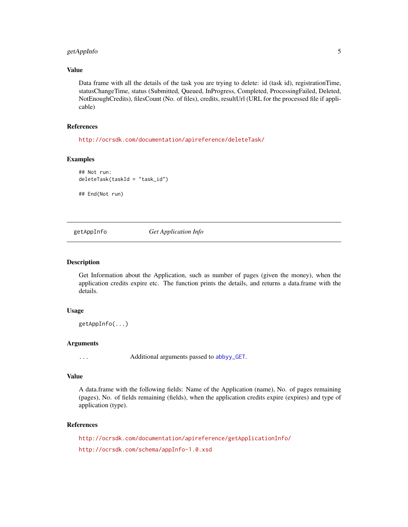#### <span id="page-4-0"></span>getAppInfo 5

#### Value

Data frame with all the details of the task you are trying to delete: id (task id), registrationTime, statusChangeTime, status (Submitted, Queued, InProgress, Completed, ProcessingFailed, Deleted, NotEnoughCredits), filesCount (No. of files), credits, resultUrl (URL for the processed file if applicable)

#### References

<http://ocrsdk.com/documentation/apireference/deleteTask/>

#### Examples

```
## Not run:
deleteTask(taskId = "task_id")
```
## End(Not run)

getAppInfo *Get Application Info*

#### Description

Get Information about the Application, such as number of pages (given the money), when the application credits expire etc. The function prints the details, and returns a data.frame with the details.

#### Usage

getAppInfo(...)

#### Arguments

... Additional arguments passed to [abbyy\\_GET](#page-2-1).

#### Value

A data.frame with the following fields: Name of the Application (name), No. of pages remaining (pages), No. of fields remaining (fields), when the application credits expire (expires) and type of application (type).

#### References

<http://ocrsdk.com/documentation/apireference/getApplicationInfo/> <http://ocrsdk.com/schema/appInfo-1.0.xsd>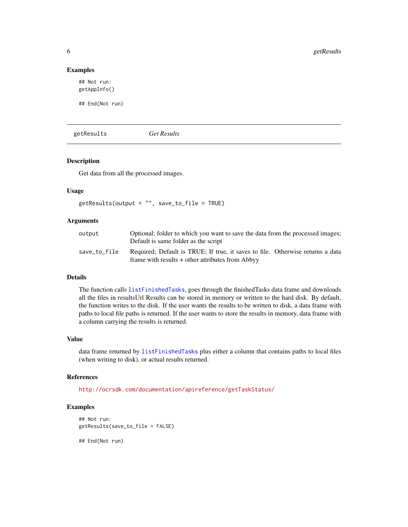#### Examples

## Not run: getAppInfo()

## End(Not run)

getResults *Get Results*

#### Description

Get data from all the processed images.

#### Usage

getResults(output = "", save\_to\_file = TRUE)

#### Arguments

| output       | Optional; folder to which you want to save the data from the processed images;<br>Default is same folder as the script             |
|--------------|------------------------------------------------------------------------------------------------------------------------------------|
| save_to_file | Required; Default is TRUE; If true, it saves to file. Otherwise returns a data<br>frame with results + other attributes from Abbyy |

#### Details

The function calls [listFinishedTasks](#page-6-2), goes through the finishedTasks data frame and downloads all the files in resultsUrl Results can be stored in memory or written to the hard disk. By default, the function writes to the disk. If the user wants the results to be written to disk, a data frame with paths to local file paths is returned. If the user wants to store the results in memory, data frame with a column carrying the results is returned.

#### Value

data frame returned by [listFinishedTasks](#page-6-2) plus either a column that contains paths to local files (when writing to disk), or actual results returned.

#### References

<http://ocrsdk.com/documentation/apireference/getTaskStatus/>

#### Examples

```
## Not run:
getResults(save_to_file = FALSE)
```
<span id="page-5-0"></span>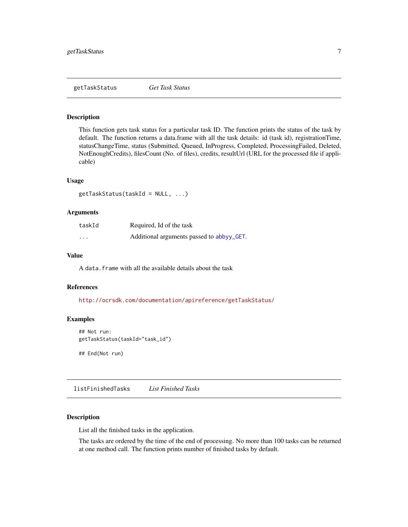<span id="page-6-1"></span><span id="page-6-0"></span>getTaskStatus *Get Task Status*

#### Description

This function gets task status for a particular task ID. The function prints the status of the task by default. The function returns a data.frame with all the task details: id (task id), registrationTime, statusChangeTime, status (Submitted, Queued, InProgress, Completed, ProcessingFailed, Deleted, NotEnoughCredits), filesCount (No. of files), credits, resultUrl (URL for the processed file if applicable)

#### Usage

getTaskStatus(taskId = NULL, ...)

#### Arguments

| taskId   | Required, Id of the task                  |
|----------|-------------------------------------------|
| $\cdots$ | Additional arguments passed to abbyy_GET. |

#### Value

A data.frame with all the available details about the task

#### References

<http://ocrsdk.com/documentation/apireference/getTaskStatus/>

#### Examples

```
## Not run:
getTaskStatus(taskId="task_id")
```
## End(Not run)

<span id="page-6-2"></span>listFinishedTasks *List Finished Tasks*

#### Description

List all the finished tasks in the application.

The tasks are ordered by the time of the end of processing. No more than 100 tasks can be returned at one method call. The function prints number of finished tasks by default.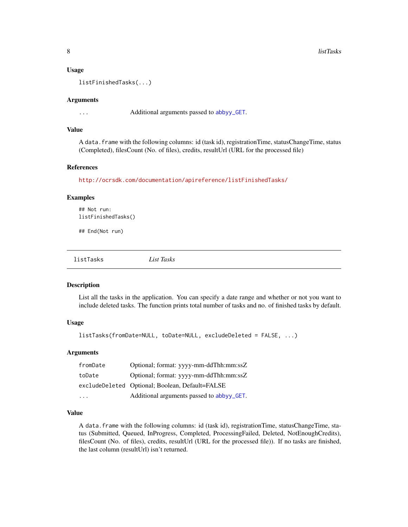#### <span id="page-7-0"></span>Usage

listFinishedTasks(...)

#### Arguments

... Additional arguments passed to [abbyy\\_GET](#page-2-1).

#### Value

A data.frame with the following columns: id (task id), registrationTime, statusChangeTime, status (Completed), filesCount (No. of files), credits, resultUrl (URL for the processed file)

#### References

<http://ocrsdk.com/documentation/apireference/listFinishedTasks/>

#### Examples

## Not run: listFinishedTasks()

## End(Not run)

listTasks *List Tasks*

#### Description

List all the tasks in the application. You can specify a date range and whether or not you want to include deleted tasks. The function prints total number of tasks and no. of finished tasks by default.

#### Usage

```
listTasks(fromDate=NULL, toDate=NULL, excludeDeleted = FALSE, ...)
```
#### Arguments

| fromDate | Optional; format: yyyy-mm-ddThh:mm:ssZ          |
|----------|-------------------------------------------------|
| toDate   | Optional; format: yyyy-mm-ddThh:mm:ssZ          |
|          | excludeDeleted Optional; Boolean, Default=FALSE |
|          | Additional arguments passed to abbyy_GET.       |

#### Value

A data.frame with the following columns: id (task id), registrationTime, statusChangeTime, status (Submitted, Queued, InProgress, Completed, ProcessingFailed, Deleted, NotEnoughCredits), filesCount (No. of files), credits, resultUrl (URL for the processed file)). If no tasks are finished, the last column (resultUrl) isn't returned.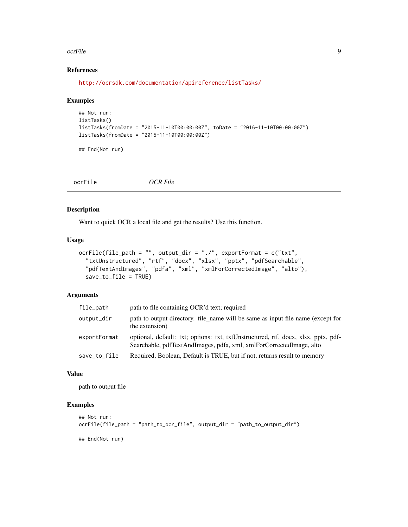#### <span id="page-8-0"></span>ocrFile 99

#### References

<http://ocrsdk.com/documentation/apireference/listTasks/>

#### Examples

```
## Not run:
listTasks()
listTasks(fromDate = "2015-11-10T00:00:00Z", toDate = "2016-11-10T00:00:00Z")
listTasks(fromDate = "2015-11-10T00:00:00Z")
```
## End(Not run)

ocrFile *OCR File*

#### Description

Want to quick OCR a local file and get the results? Use this function.

#### Usage

```
ocrFile(file_path = "", output_dir = "./", exportFormat = c("txt","txtUnstructured", "rtf", "docx", "xlsx", "pptx", "pdfSearchable",
  "pdfTextAndImages", "pdfa", "xml", "xmlForCorrectedImage", "alto"),
  save_to_file = TRUE)
```
#### Arguments

| file_path    | path to file containing OCR'd text; required                                                                                                              |
|--------------|-----------------------------------------------------------------------------------------------------------------------------------------------------------|
| output_dir   | path to output directory. file_name will be same as input file name (except for<br>the extension)                                                         |
| exportFormat | optional, default: txt; options: txt, txtUnstructured, rtf, docx, xlsx, pptx, pdf-<br>Searchable, pdfTextAndImages, pdfa, xml, xmlForCorrectedImage, alto |
| save_to_file | Required, Boolean, Default is TRUE, but if not, returns result to memory                                                                                  |

#### Value

path to output file

#### Examples

```
## Not run:
ocrFile(file_path = "path_to_ocr_file", output_dir = "path_to_output_dir")
## End(Not run)
```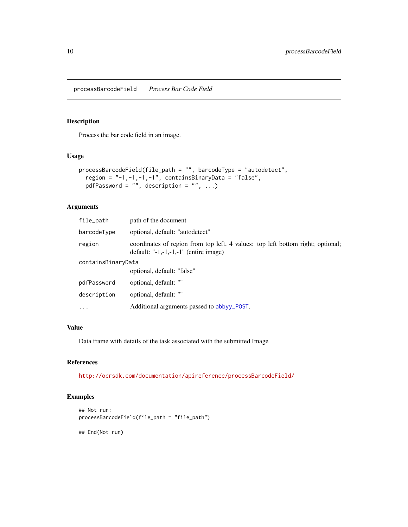<span id="page-9-0"></span>processBarcodeField *Process Bar Code Field*

#### Description

Process the bar code field in an image.

#### Usage

```
processBarcodeField(file_path = "", barcodeType = "autodetect",
  region = "-1,-1,-1,-1", containsBinaryData = "false",
 pdfPassword = "", description = "", ...)
```
#### Arguments

| file_path          | path of the document                                                                                                                     |
|--------------------|------------------------------------------------------------------------------------------------------------------------------------------|
| barcodeType        | optional, default: "autodetect"                                                                                                          |
| region             | coordinates of region from top left, 4 values: top left bottom right; optional;<br>default: " $-1$ , $-1$ , $-1$ , $-1$ " (entire image) |
| containsBinaryData |                                                                                                                                          |
|                    | optional, default: "false"                                                                                                               |
| pdfPassword        | optional, default: ""                                                                                                                    |
| description        | optional, default: ""                                                                                                                    |
| .                  | Additional arguments passed to abbyy_POST.                                                                                               |
|                    |                                                                                                                                          |

# Value

Data frame with details of the task associated with the submitted Image

#### References

<http://ocrsdk.com/documentation/apireference/processBarcodeField/>

#### Examples

```
## Not run:
processBarcodeField(file_path = "file_path")
```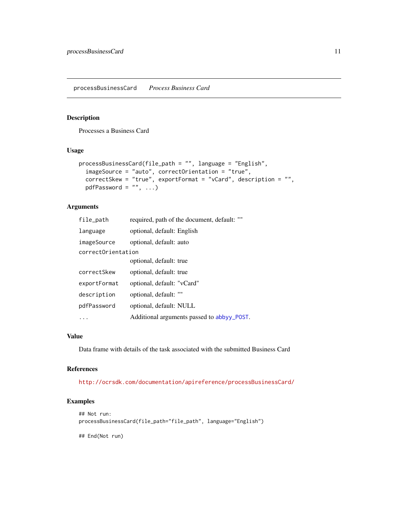<span id="page-10-0"></span>processBusinessCard *Process Business Card*

#### Description

Processes a Business Card

#### Usage

```
processBusinessCard(file_path = "", language = "English",
  imageSource = "auto", correctOrientation = "true",
  correctSkew = "true", exportFormat = "vCard", description = "",
 pdfPassword = ", ...)
```
#### Arguments

| file_path          | required, path of the document, default: "" |  |
|--------------------|---------------------------------------------|--|
| language           | optional, default: English                  |  |
| imageSource        | optional, default: auto                     |  |
| correctOrientation |                                             |  |
|                    | optional, default: true                     |  |
| correctSkew        | optional, default: true                     |  |
| exportFormat       | optional, default: "vCard"                  |  |
| description        | optional, default: ""                       |  |
| pdfPassword        | optional, default: NULL                     |  |
|                    | Additional arguments passed to abbyy_POST.  |  |

#### Value

Data frame with details of the task associated with the submitted Business Card

#### References

<http://ocrsdk.com/documentation/apireference/processBusinessCard/>

#### Examples

```
## Not run:
processBusinessCard(file_path="file_path", language="English")
```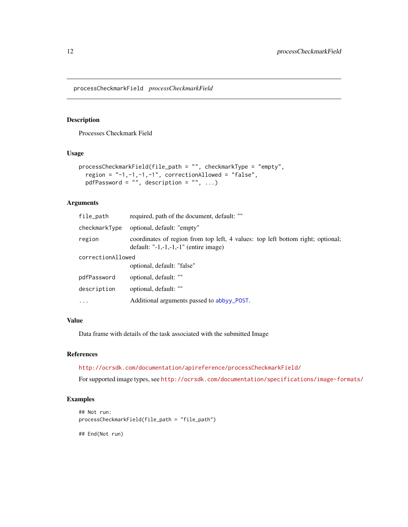<span id="page-11-0"></span>processCheckmarkField *processCheckmarkField*

#### Description

Processes Checkmark Field

# Usage

```
processCheckmarkField(file_path = "", checkmarkType = "empty",
  region = "-1,-1,-1,-1", correctionAllowed = "false",
 pdfPassword = "", description = "", ...)
```
### Arguments

| file_path         | required, path of the document, default: ""                                                                                              |
|-------------------|------------------------------------------------------------------------------------------------------------------------------------------|
| checkmarkType     | optional, default: "empty"                                                                                                               |
| region            | coordinates of region from top left, 4 values: top left bottom right; optional;<br>default: " $-1$ , $-1$ , $-1$ , $-1$ " (entire image) |
| correctionAllowed |                                                                                                                                          |
|                   | optional, default: "false"                                                                                                               |
| pdfPassword       | optional, default: ""                                                                                                                    |
| description       | optional, default: ""                                                                                                                    |
| $\cdots$          | Additional arguments passed to abbyy_POST.                                                                                               |

#### Value

Data frame with details of the task associated with the submitted Image

#### References

<http://ocrsdk.com/documentation/apireference/processCheckmarkField/>

For supported image types, see <http://ocrsdk.com/documentation/specifications/image-formats/>

#### Examples

```
## Not run:
processCheckmarkField(file_path = "file_path")
```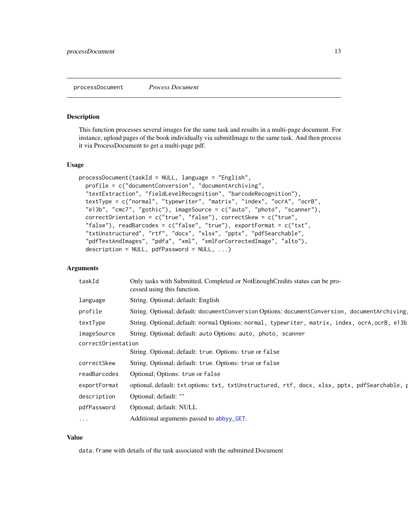# <span id="page-12-0"></span>Description

This function processes several images for the same task and results in a multi-page document. For instance, upload pages of the book individually via submitImage to the same task. And then process it via ProcessDocument to get a multi-page pdf.

#### Usage

```
processDocument(taskId = NULL, language = "English",
  profile = c("documentConversion", "documentArchiving",
  "textExtraction", "fieldLevelRecognition", "barcodeRecognition"),
  textType = c("normal", "typewriter", "matrix", "index", "ocrA", "ocrB",
  "e13b", "cmc7", "gothic"), imageSource = c("auto", "photo", "scanner"),
  correctOrientation = c("true", "false"), correctSkew = c("true",
  "false"), readBarcodes = c("false", "true"), exportFormat = c("txt",
  "txtUnstructured", "rtf", "docx", "xlsx", "pptx", "pdfSearchable",
  "pdfTextAndImages", "pdfa", "xml", "xmlForCorrectedImage", "alto"),
  description = NULL, pdfPassword = NULL, \ldots)
```
#### Arguments

| taskId             | Only tasks with Submitted, Completed or NotEnoughCredits status can be pro-<br>cessed using this function. |  |
|--------------------|------------------------------------------------------------------------------------------------------------|--|
| language           | String. Optional; default: English                                                                         |  |
| profile            | String. Optional; default: documentConversion Options: documentConversion, documentArchiving,              |  |
| textType           | String. Optional; default: normal Options: normal, typewriter, matrix, index, ocrA, ocrB, e13b             |  |
| imageSource        | String. Optional; default: auto Options: auto, photo, scanner                                              |  |
| correctOrientation |                                                                                                            |  |
|                    | String. Optional; default: true. Options: true or false                                                    |  |
| correctSkew        | String. Optional; default: true. Options: true or false                                                    |  |
| readBarcodes       | Optional; Options: true or false                                                                           |  |
| exportFormat       | optional, default: txt options: txt, txtUnstructured, rtf, docx, xlsx, pptx, pdfSearchable, p              |  |
| description        | Optional; default: ""                                                                                      |  |
| pdfPassword        | Optional; default: NULL                                                                                    |  |
| $\cdots$           | Additional arguments passed to abbyy_GET.                                                                  |  |

#### Value

data. frame with details of the task associated with the submitted Document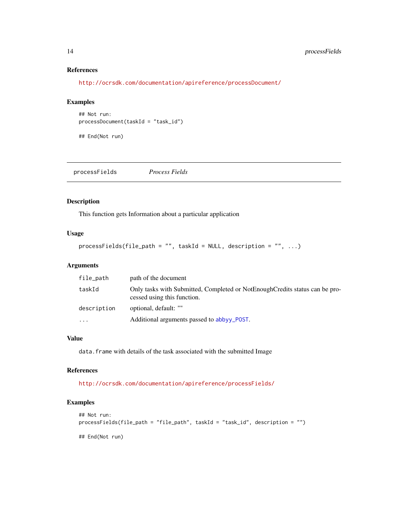#### References

<http://ocrsdk.com/documentation/apireference/processDocument/>

#### Examples

```
## Not run:
processDocument(taskId = "task_id")
```
## End(Not run)

processFields *Process Fields*

# Description

This function gets Information about a particular application

#### Usage

```
processFields(file_path = "", taskId = NULL, description = "", ...)
```
#### Arguments

| file_path   | path of the document                                                                                       |
|-------------|------------------------------------------------------------------------------------------------------------|
| taskId      | Only tasks with Submitted, Completed or NotEnoughCredits status can be pro-<br>cessed using this function. |
| description | optional, default: ""                                                                                      |
| $\cdots$    | Additional arguments passed to abbyy_POST.                                                                 |

#### Value

data. frame with details of the task associated with the submitted Image

### References

<http://ocrsdk.com/documentation/apireference/processFields/>

#### Examples

```
## Not run:
processFields(file_path = "file_path", taskId = "task_id", description = "")
## End(Not run)
```
<span id="page-13-0"></span>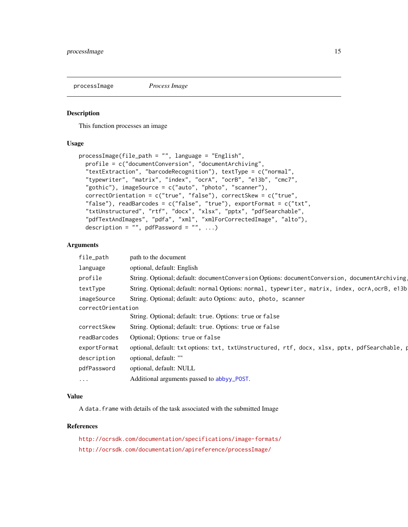<span id="page-14-0"></span>processImage *Process Image*

#### Description

This function processes an image

#### Usage

```
processImage(file_path = "", language = "English",
 profile = c("documentConversion", "documentArchiving",
 "textExtraction", "barcodeRecognition"), textType = c("normal",
  "typewriter", "matrix", "index", "ocrA", "ocrB", "e13b", "cmc7",
  "gothic"), imageSource = c("auto", "photo", "scanner"),
  correctOrientation = c("true", "false"), correctSkew = c("true",
  "false"), readBarcodes = c("false", "true"), exportFormat = c("txt",
  "txtUnstructured", "rtf", "docx", "xlsx", "pptx", "pdfSearchable",
  "pdfTextAndImages", "pdfa", "xml", "xmlForCorrectedImage", "alto"),
  description = ", pdfPassword = ", ...)
```
#### Arguments

| file_path          | path to the document                                                                           |
|--------------------|------------------------------------------------------------------------------------------------|
| language           | optional, default: English                                                                     |
| profile            | String. Optional; default: documentConversion Options: documentConversion, documentArchiving,  |
| textType           | String. Optional; default: normal Options: normal, typewriter, matrix, index, ocrA, ocrB, e13b |
| imageSource        | String. Optional; default: auto Options: auto, photo, scanner                                  |
| correctOrientation |                                                                                                |
|                    | String. Optional; default: true. Options: true or false                                        |
| correctSkew        | String. Optional; default: true. Options: true or false                                        |
| readBarcodes       | Optional; Options: true or false                                                               |
| exportFormat       | optional, default: txt options: txt, txtUnstructured, rtf, docx, xlsx, pptx, pdfSearchable, p  |
| description        | optional, default: ""                                                                          |
| pdfPassword        | optional, default: NULL                                                                        |
| $\cdot$            | Additional arguments passed to abbyy_POST.                                                     |
|                    |                                                                                                |

#### Value

A data.frame with details of the task associated with the submitted Image

#### References

<http://ocrsdk.com/documentation/specifications/image-formats/> <http://ocrsdk.com/documentation/apireference/processImage/>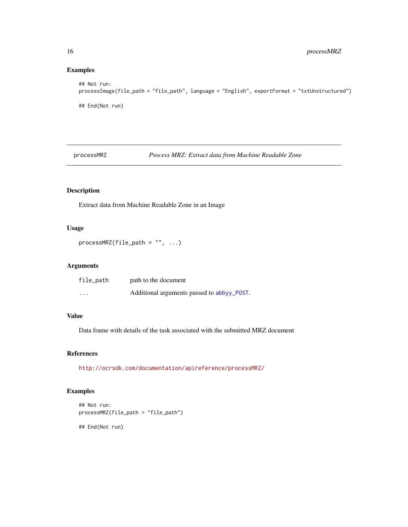#### Examples

```
## Not run:
processImage(file_path = "file_path", language = "English", exportFormat = "txtUnstructured")
## End(Not run)
```
processMRZ *Process MRZ: Extract data from Machine Readable Zone*

# Description

Extract data from Machine Readable Zone in an Image

### Usage

```
processMRZ(file_path = "", ...)
```
#### Arguments

| file_path | path to the document                       |
|-----------|--------------------------------------------|
| $\cdots$  | Additional arguments passed to abbyy_POST. |

# Value

Data frame with details of the task associated with the submitted MRZ document

#### References

<http://ocrsdk.com/documentation/apireference/processMRZ/>

#### Examples

```
## Not run:
processMRZ(file_path = "file_path")
```
<span id="page-15-0"></span>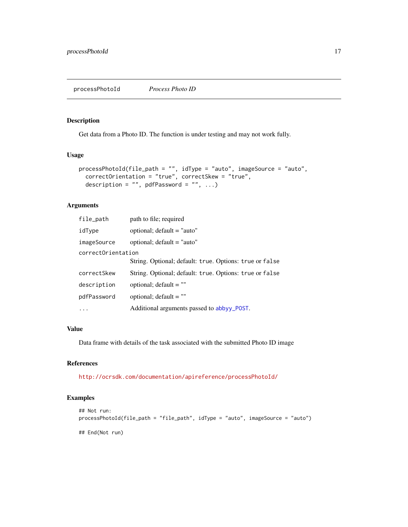# <span id="page-16-0"></span>Description

Get data from a Photo ID. The function is under testing and may not work fully.

#### Usage

```
processPhotoId(file_path = "", idType = "auto", imageSource = "auto",
  correctOrientation = "true", correctSkew = "true",
  description = ", pdfPassword = ", ...)
```
#### Arguments

| file_path          | path to file; required                                  |
|--------------------|---------------------------------------------------------|
| idType             | optional; default = "auto"                              |
| imageSource        | optional; default = "auto"                              |
| correctOrientation |                                                         |
|                    | String. Optional; default: true. Options: true or false |
| correctSkew        | String. Optional; default: true. Options: true or false |
| description        | optional; $default = "$                                 |
| pdfPassword        | optional; $default = ""$                                |
| .                  | Additional arguments passed to abbyy_POST.              |

# Value

Data frame with details of the task associated with the submitted Photo ID image

#### References

<http://ocrsdk.com/documentation/apireference/processPhotoId/>

#### Examples

```
## Not run:
processPhotoId(file_path = "file_path", idType = "auto", imageSource = "auto")
## End(Not run)
```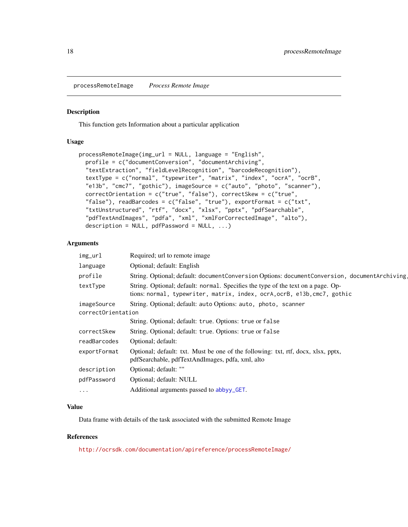<span id="page-17-0"></span>processRemoteImage *Process Remote Image*

#### **Description**

This function gets Information about a particular application

#### Usage

```
processRemoteImage(img_url = NULL, language = "English",
 profile = c("documentConversion", "documentArchiving",
  "textExtraction", "fieldLevelRecognition", "barcodeRecognition"),
  textType = c("normal", "typewriter", "matrix", "index", "ocrA", "ocrB",
  "e13b", "cmc7", "gothic"), imageSource = c("auto", "photo", "scanner"),
  correctOrientation = c("true", "false"), correctSkew = c("true",
 "false"), readBarcodes = c("false", "true"), exportFormat = c("txt",
  "txtUnstructured", "rtf", "docx", "xlsx", "pptx", "pdfSearchable",
  "pdfTextAndImages", "pdfa", "xml", "xmlForCorrectedImage", "alto"),
  description = NULL, pdfPassword = NULL, \ldots)
```
#### Arguments

| img_url            | Required; url to remote image                                                                                                                                |
|--------------------|--------------------------------------------------------------------------------------------------------------------------------------------------------------|
| language           | Optional; default: English                                                                                                                                   |
| profile            | String. Optional; default: documentConversion Options: documentConversion, documentArchiving,                                                                |
| textType           | String. Optional; default: normal. Specifies the type of the text on a page. Op-<br>tions: normal, typewriter, matrix, index, ocrA, ocrB, e13b, cmc7, gothic |
| imageSource        | String. Optional; default: auto Options: auto, photo, scanner                                                                                                |
| correctOrientation |                                                                                                                                                              |
|                    | String. Optional; default: true. Options: true or false                                                                                                      |
| correctSkew        | String. Optional; default: true. Options: true or false                                                                                                      |
| readBarcodes       | Optional; default:                                                                                                                                           |
| exportFormat       | Optional; default: txt. Must be one of the following: txt, rtf, docx, xlsx, pptx,<br>pdfSearchable, pdfTextAndImages, pdfa, xml, alto                        |
| description        | Optional; default: ""                                                                                                                                        |
| pdfPassword        | Optional; default: NULL                                                                                                                                      |
| $\cdots$           | Additional arguments passed to abbyy_GET.                                                                                                                    |

#### Value

Data frame with details of the task associated with the submitted Remote Image

#### References

<http://ocrsdk.com/documentation/apireference/processRemoteImage/>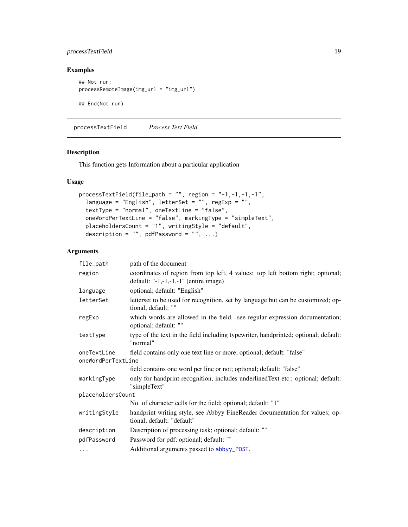### <span id="page-18-0"></span>processTextField 19

#### Examples

```
## Not run:
processRemoteImage(img_url = "img_url")
## End(Not run)
```
processTextField *Process Text Field*

#### Description

This function gets Information about a particular application

#### Usage

```
processTextField(file_path = ", region = "-1,-1,-1,-1",
  language = "English", letterSet = "", regExp = "",
  textType = "normal", oneTextLine = "false",
 oneWordPerTextLine = "false", markingType = "simpleText",
 placeholdersCount = "1", writingStyle = "default",
 description = ", pdfPassword = ", ...)
```
# Arguments

| file_path          | path of the document                                                                                                                     |
|--------------------|------------------------------------------------------------------------------------------------------------------------------------------|
| region             | coordinates of region from top left, 4 values: top left bottom right; optional;<br>default: " $-1$ , $-1$ , $-1$ , $-1$ " (entire image) |
| language           | optional; default: "English"                                                                                                             |
| letterSet          | letterset to be used for recognition, set by language but can be customized; op-<br>tional; default: ""                                  |
| regExp             | which words are allowed in the field. see regular expression documentation;<br>optional; default: ""                                     |
| textType           | type of the text in the field including typewriter, handprinted; optional; default:<br>"normal"                                          |
| oneTextLine        | field contains only one text line or more; optional; default: "false"                                                                    |
| oneWordPerTextLine |                                                                                                                                          |
|                    | field contains one word per line or not; optional; default: "false"                                                                      |
| markingType        | only for handprint recognition, includes underlined Text etc.; optional; default:<br>"simpleText"                                        |
| placeholdersCount  |                                                                                                                                          |
|                    | No. of character cells for the field; optional; default: "1"                                                                             |
| writingStyle       | handprint writing style, see Abbyy FineReader documentation for values; op-<br>tional; default: "default"                                |
| description        | Description of processing task; optional; default: ""                                                                                    |
| pdfPassword        | Password for pdf; optional; default: ""                                                                                                  |
| $\cdots$           | Additional arguments passed to abbyy_POST.                                                                                               |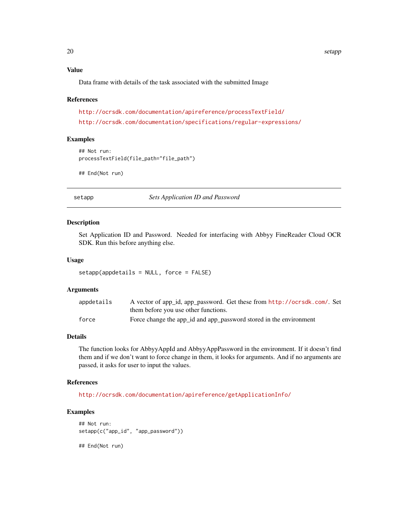20 setapp sets and the set of the set of the set of the set of the set of the set of the set of the set of the

#### Value

Data frame with details of the task associated with the submitted Image

#### References

```
http://ocrsdk.com/documentation/apireference/processTextField/
http://ocrsdk.com/documentation/specifications/regular-expressions/
```
### Examples

```
## Not run:
processTextField(file_path="file_path")
```
## End(Not run)

<span id="page-19-1"></span>setapp *Sets Application ID and Password*

#### Description

Set Application ID and Password. Needed for interfacing with Abbyy FineReader Cloud OCR SDK. Run this before anything else.

#### Usage

```
setapp(appdetails = NULL, force = FALSE)
```
#### Arguments

| appdetails | A vector of app_id, app_password. Get these from http://ocrsdk.com/. Set |
|------------|--------------------------------------------------------------------------|
|            | them before you use other functions.                                     |
| force      | Force change the app_id and app_password stored in the environment       |

#### Details

The function looks for AbbyyAppId and AbbyyAppPassword in the environment. If it doesn't find them and if we don't want to force change in them, it looks for arguments. And if no arguments are passed, it asks for user to input the values.

#### References

<http://ocrsdk.com/documentation/apireference/getApplicationInfo/>

#### Examples

```
## Not run:
setapp(c("app_id", "app_password"))
## End(Not run)
```
<span id="page-19-0"></span>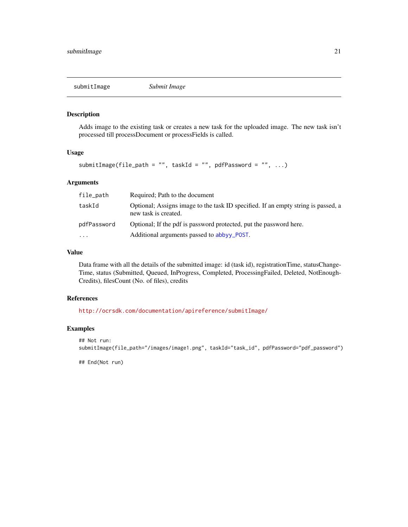<span id="page-20-0"></span>

#### Description

Adds image to the existing task or creates a new task for the uploaded image. The new task isn't processed till processDocument or processFields is called.

#### Usage

```
submitImage(file_path = "", taskId = "", pdfPassword = "", ...)
```
#### Arguments

| file_path   | Required: Path to the document                                                                            |
|-------------|-----------------------------------------------------------------------------------------------------------|
| taskId      | Optional; Assigns image to the task ID specified. If an empty string is passed, a<br>new task is created. |
| pdfPassword | Optional; If the pdf is password protected, put the password here.                                        |
| $\cdots$    | Additional arguments passed to abbyy_POST.                                                                |

#### Value

Data frame with all the details of the submitted image: id (task id), registrationTime, statusChange-Time, status (Submitted, Queued, InProgress, Completed, ProcessingFailed, Deleted, NotEnough-Credits), filesCount (No. of files), credits

#### References

<http://ocrsdk.com/documentation/apireference/submitImage/>

#### Examples

```
## Not run:
submitImage(file_path="/images/image1.png", taskId="task_id", pdfPassword="pdf_password")
```